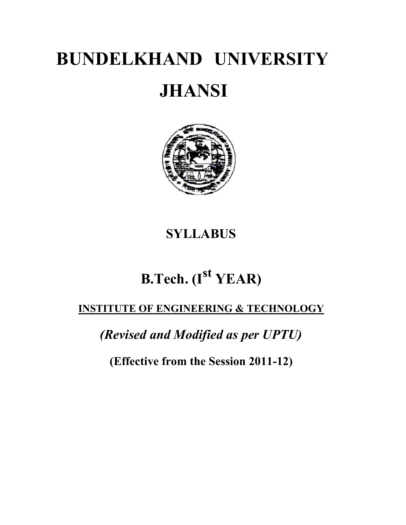# **BUNDELKHAND UNIVERSITY JHANSI**

## **SYLLABUS**

# **B.Tech. (Ist YEAR)**

## **INSTITUTE OF ENGINEERING & TECHNOLOGY**

*(Revised and Modified as per UPTU)*

**(Effective from the Session 2011-12)**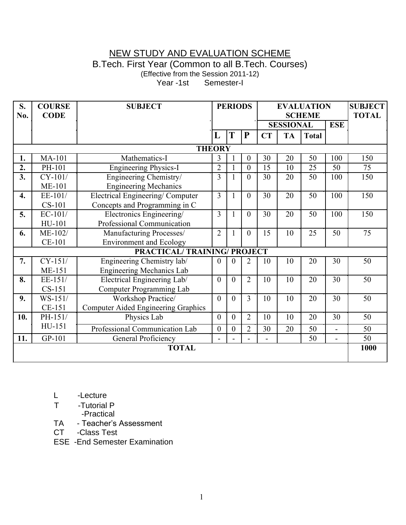### NEW STUDY AND EVALUATION SCHEME B.Tech. First Year (Common to all B.Tech. Courses) (Effective from the Session 2011-12)

Year -1st Semester-I

| S.<br>No.                         | <b>COURSE</b><br><b>CODE</b> | <b>SUBJECT</b>                             |                   | <b>PERIODS</b>   |                  | <b>EVALUATION</b><br><b>SCHEME</b> |           | <b>SUBJECT</b><br><b>TOTAL</b> |                |     |
|-----------------------------------|------------------------------|--------------------------------------------|-------------------|------------------|------------------|------------------------------------|-----------|--------------------------------|----------------|-----|
|                                   |                              |                                            |                   |                  |                  | <b>SESSIONAL</b>                   |           |                                | <b>ESE</b>     |     |
|                                   |                              |                                            | L                 | T                | P                | <b>CT</b>                          | <b>TA</b> | <b>Total</b>                   |                |     |
| <b>THEORY</b>                     |                              |                                            |                   |                  |                  |                                    |           |                                |                |     |
| 1.                                | MA-101                       | Mathematics-I                              | 3                 |                  | $\boldsymbol{0}$ | 30                                 | 20        | 50                             | 100            | 150 |
| 2.                                | PH-101                       | <b>Engineering Physics-I</b>               | $\overline{2}$    | $\mathbf{1}$     | $\mathbf{0}$     | 15                                 | 10        | 25                             | 50             | 75  |
| 3.                                | $CY-101/$                    | Engineering Chemistry/                     | 3<br>$\mathbf{1}$ |                  | $\overline{0}$   | 50<br>30<br>20                     |           |                                | 100            | 150 |
|                                   | $ME-101$                     | <b>Engineering Mechanics</b>               |                   |                  |                  |                                    |           |                                |                |     |
| $\overline{4}$ .                  | EE-101/                      | <b>Electrical Engineering/Computer</b>     | 3                 | $\mathbf{1}$     | $\theta$         | 30                                 | 20        | 50                             | 100            | 150 |
|                                   | $CS-101$                     | Concepts and Programming in C              |                   |                  |                  |                                    |           |                                |                |     |
| 5.                                | $EC-101/$                    | Electronics Engineering/                   | 3                 | $\mathbf{1}$     | $\theta$         | 30                                 | 20        | 50                             | 100            | 150 |
|                                   | HU-101                       | Professional Communication                 |                   |                  |                  |                                    |           |                                |                |     |
| 6.                                | ME-102/                      | Manufacturing Processes/                   | $\overline{2}$    | $\mathbf{1}$     | $\overline{0}$   | 15                                 | 10        | 25                             | 50             | 75  |
|                                   | CE-101                       | <b>Environment and Ecology</b>             |                   |                  |                  |                                    |           |                                |                |     |
| <b>PRACTICAL/TRAINING/PROJECT</b> |                              |                                            |                   |                  |                  |                                    |           |                                |                |     |
| 7.                                | $CY-151/$                    | Engineering Chemistry lab/                 | $\overline{0}$    | 0                | 2                | 10                                 | 10        | 20                             | 30             | 50  |
|                                   | ME-151                       | <b>Engineering Mechanics Lab</b>           |                   |                  |                  |                                    |           |                                |                |     |
| 8.                                | EE-151/                      | Electrical Engineering Lab/                | $\mathbf{0}$      | $\theta$         | $\overline{2}$   | 10                                 | 10        | 20                             | 30             | 50  |
|                                   | $CS-151$                     | Computer Programming Lab                   |                   |                  |                  |                                    |           |                                |                |     |
| 9.                                | $WS-151/$                    | Workshop Practice/                         | $\theta$          | $\overline{0}$   | $\overline{3}$   | 10                                 | 10        | 20                             | 30             | 50  |
|                                   | CE-151                       | <b>Computer Aided Engineering Graphics</b> |                   |                  |                  |                                    |           |                                |                |     |
| 10.                               | PH-151/                      | Physics Lab                                | $\overline{0}$    | $\theta$         | $\overline{2}$   | 10                                 | 10        | 20                             | 30             | 50  |
|                                   | HU-151                       | Professional Communication Lab             | $\boldsymbol{0}$  | $\boldsymbol{0}$ | $\overline{2}$   | 30                                 | 20        | 50                             | $\overline{a}$ | 50  |
| 11.                               | GP-101                       | <b>General Proficiency</b>                 | $\blacksquare$    |                  |                  |                                    |           | 50                             | L,             | 50  |
| <b>TOTAL</b>                      |                              |                                            |                   |                  |                  |                                    | 1000      |                                |                |     |
|                                   |                              |                                            |                   |                  |                  |                                    |           |                                |                |     |

L -Lecture

T -Tutorial P

-Practical

TA - Teacher's Assessment

CT -Class Test

ESE -End Semester Examination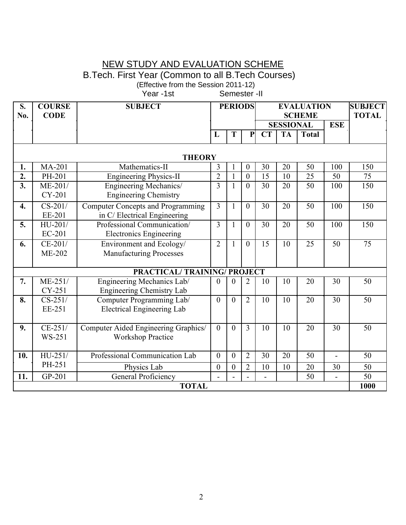### NEW STUDY AND EVALUATION SCHEME

B.Tech. First Year (Common to all B.Tech Courses)

(Effective from the Session 2011-12)

Year -1st Semester -II

| $\overline{\mathbf{S}}$ . | <b>COURSE</b>              | <b>SUBJECT</b>                           | <b>PERIODS</b> |                | <b>EVALUATION</b> |                  |                 |                 | <b>SUBJECT</b>  |                 |
|---------------------------|----------------------------|------------------------------------------|----------------|----------------|-------------------|------------------|-----------------|-----------------|-----------------|-----------------|
| No.                       | <b>CODE</b>                |                                          |                |                |                   | <b>SCHEME</b>    | <b>TOTAL</b>    |                 |                 |                 |
|                           |                            |                                          |                |                |                   | <b>SESSIONAL</b> |                 |                 | <b>ESE</b>      |                 |
|                           |                            |                                          | L              | T              | $\mathbf{P}$      | CT               | <b>TA</b>       | <b>Total</b>    |                 |                 |
|                           |                            |                                          |                |                |                   |                  |                 |                 |                 |                 |
|                           |                            | <b>THEORY</b>                            |                |                |                   |                  |                 |                 |                 |                 |
| 1.                        | <b>MA-201</b>              | Mathematics-II                           | 3              |                | $\theta$          | 30               | 20              | 50              | 100             | 150             |
| $\overline{2}$ .          | PH-201                     | <b>Engineering Physics-II</b>            | $\overline{2}$ | $\mathbf{1}$   | $\overline{0}$    | 15               | 10              | 25              | 50              | 75              |
| $\overline{3}$ .          | $ME-201/$                  | Engineering Mechanics/                   | 3              | $\mathbf{1}$   | $\theta$          | 30               | 20              | $\overline{50}$ | 100             | 150             |
|                           | CY-201                     | <b>Engineering Chemistry</b>             |                |                |                   |                  |                 |                 |                 |                 |
| 4.                        | $CS-201/$                  | <b>Computer Concepts and Programming</b> | $\overline{3}$ | $\mathbf{1}$   | $\overline{0}$    | $\overline{30}$  | $\overline{20}$ | $\overline{50}$ | 100             | 150             |
|                           | EE-201                     | in C/ Electrical Engineering             |                |                |                   |                  |                 |                 |                 |                 |
| 5.                        | HU-201/                    | Professional Communication/              | 3              | $\mathbf{1}$   | $\theta$          | 30               | 20              | $\overline{50}$ | 100             | 150             |
|                           | EC-201                     | <b>Electronics Engineering</b>           |                |                |                   |                  |                 |                 |                 |                 |
| 6.                        | $CE-201/$                  | Environment and Ecology/                 | $\overline{2}$ | $\mathbf{1}$   | $\theta$          | $\overline{15}$  | 10              | 25              | $\overline{50}$ | 75              |
|                           | <b>ME-202</b>              | <b>Manufacturing Processes</b>           |                |                |                   |                  |                 |                 |                 |                 |
|                           |                            |                                          |                |                |                   |                  |                 |                 |                 |                 |
|                           |                            | PRACTICAL/TRAINING/PROJECT               |                |                |                   |                  |                 |                 |                 |                 |
| 7.                        | $ME-251/$                  | Engineering Mechanics Lab/               | 0              | $\theta$       | $\overline{2}$    | 10               | 10              | 20              | 30              | 50              |
|                           | CY-251                     | Engineering Chemistry Lab                |                |                |                   |                  |                 |                 |                 |                 |
| 8.                        | $\overline{\text{CS-251}}$ | Computer Programming Lab/                | $\theta$       | $\theta$       | $\overline{2}$    | 10               | 10              | $\overline{20}$ | $\overline{30}$ | $\overline{50}$ |
|                           | EE-251                     | <b>Electrical Engineering Lab</b>        |                |                |                   |                  |                 |                 |                 |                 |
|                           |                            |                                          |                |                |                   |                  |                 |                 |                 |                 |
| 9.                        | $CE-251/$                  | Computer Aided Engineering Graphics/     | $\theta$       | $\theta$       | $\overline{3}$    | $\overline{10}$  | $\overline{10}$ | $\overline{20}$ | $\overline{30}$ | $\overline{50}$ |
|                           | <b>WS-251</b>              | <b>Workshop Practice</b>                 |                |                |                   |                  |                 |                 |                 |                 |
|                           |                            |                                          |                |                |                   |                  |                 |                 |                 |                 |
| 10.                       | $HU-251/$                  | Professional Communication Lab           | $\theta$       | $\mathbf{0}$   | $\overline{2}$    | 30               | $\overline{20}$ | $\overline{50}$ |                 | $\overline{50}$ |
|                           | PH-251                     | Physics Lab                              | $\mathbf{0}$   | $\overline{0}$ | $\overline{2}$    | 10               | 10              | 20              | 30              | 50              |
| 11.                       | GP-201                     | <b>General Proficiency</b>               |                |                |                   | $\overline{a}$   |                 | 50              |                 | 50              |
|                           | <b>TOTAL</b><br>1000       |                                          |                |                |                   |                  |                 |                 |                 |                 |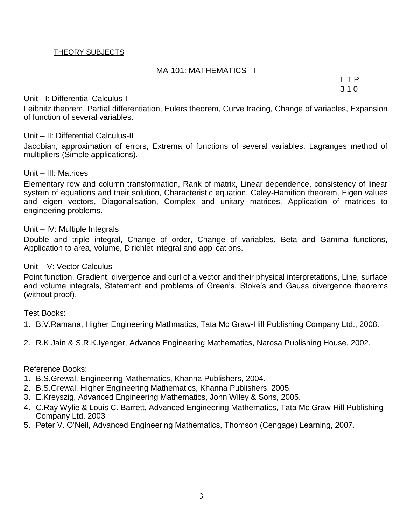#### THEORY SUBJECTS

#### MA-101: MATHEMATICS –I

L T P 3 1 0

#### Unit - I: Differential Calculus-I

Leibnitz theorem, Partial differentiation, Eulers theorem, Curve tracing, Change of variables, Expansion of function of several variables.

#### Unit – II: Differential Calculus-II

Jacobian, approximation of errors, Extrema of functions of several variables, Lagranges method of multipliers (Simple applications).

#### Unit – III: Matrices

Elementary row and column transformation, Rank of matrix, Linear dependence, consistency of linear system of equations and their solution, Characteristic equation, Caley-Hamition theorem, Eigen values and eigen vectors, Diagonalisation, Complex and unitary matrices, Application of matrices to engineering problems.

#### Unit – IV: Multiple Integrals

Double and triple integral, Change of order, Change of variables, Beta and Gamma functions, Application to area, volume, Dirichlet integral and applications.

#### Unit – V: Vector Calculus

Point function, Gradient, divergence and curl of a vector and their physical interpretations, Line, surface and volume integrals, Statement and problems of Green's, Stoke's and Gauss divergence theorems (without proof).

Test Books:

- 1. B.V.Ramana, Higher Engineering Mathmatics, Tata Mc Graw-Hill Publishing Company Ltd., 2008.
- 2. R.K.Jain & S.R.K.Iyenger, Advance Engineering Mathematics, Narosa Publishing House, 2002.

- 1. B.S.Grewal, Engineering Mathematics, Khanna Publishers, 2004.
- 2. B.S.Grewal, Higher Engineering Mathematics, Khanna Publishers, 2005.
- 3. E.Kreyszig, Advanced Engineering Mathematics, John Wiley & Sons, 2005.
- 4. C.Ray Wylie & Louis C. Barrett, Advanced Engineering Mathematics, Tata Mc Graw-Hill Publishing Company Ltd. 2003
- 5. Peter V. O'Neil, Advanced Engineering Mathematics, Thomson (Cengage) Learning, 2007.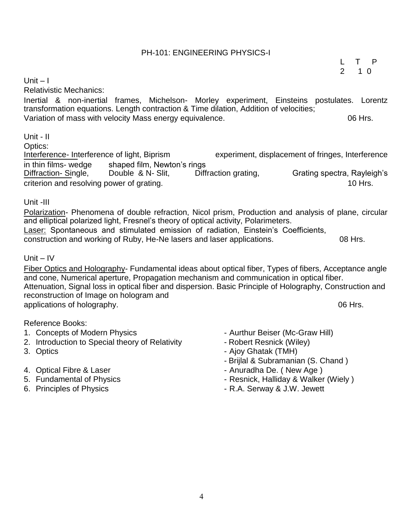PH-101: ENGINEERING PHYSICS-I

Inertial & non-inertial frames, Michelson- Morley experiment, Einsteins postulates. Lorentz

Variation of mass with velocity Mass energy equivalence. The mass of the state of the Mrs.

transformation equations. Length contraction & Time dilation, Addition of velocities;

Optics:<br>Interference- Interference of light, Biprism experiment, displacement of fringes, Interference in thin films- wedge shaped film, Newton's rings<br>Diffraction- Single, Double & N- Slit, Diffraction grating, Diffraction- Single, Double & N- Slit, Diffraction grating, Grating spectra, Rayleigh's criterion and resolving power of grating. The state of the state of the state of the state of the state of the state of the state of the state of the state of the state of the state of the state of the state of the state o

Unit -III

Unit – I

Unit - II

Relativistic Mechanics:

Polarization- Phenomena of double refraction, Nicol prism, Production and analysis of plane, circular and elliptical polarized light, Fresnel's theory of optical activity, Polarimeters. Laser: Spontaneous and stimulated emission of radiation, Einstein's Coefficients, construction and working of Ruby, He-Ne lasers and laser applications. 08 Hrs.

Unit – IV

Fiber Optics and Holography- Fundamental ideas about optical fiber, Types of fibers, Acceptance angle and cone, Numerical aperture, Propagation mechanism and communication in optical fiber. Attenuation, Signal loss in optical fiber and dispersion. Basic Principle of Holography, Construction and reconstruction of Image on hologram and applications of holography. The contraction of the contractions of holography.

Reference Books:

- 1. Concepts of Modern Physics  **Aurthur Beiser (Mc-Graw Hill)**
- 2. Introduction to Special theory of Relativity  **Robert Resnick (Wiley)**
- 
- 
- 
- 
- 
- 
- 3. Optics  **Ajoy Ghatak (TMH)** 
	- Brijlal & Subramanian (S. Chand )

L T P 2 1 0

- 4. Optical Fibre & Laser  $\overline{a}$  Anuradha De. (New Age )
- 5. Fundamental of Physics **Fig. 2018** Resnick, Halliday & Walker (Wiely )
- 6. Principles of Physics **Container and Container A.A.** Serway & J.W. Jewett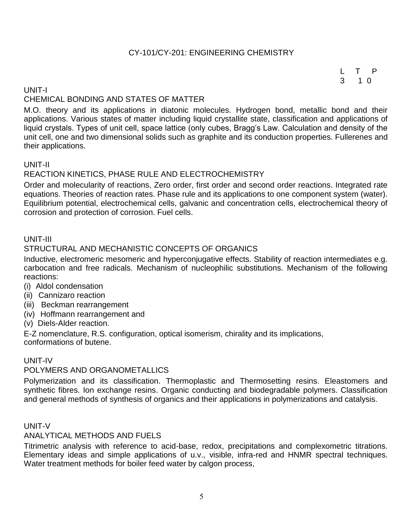#### CY-101/CY-201: ENGINEERING CHEMISTRY

L T P 3 1 0

#### UNIT-I CHEMICAL BONDING AND STATES OF MATTER

M.O. theory and its applications in diatonic molecules. Hydrogen bond, metallic bond and their applications. Various states of matter including liquid crystallite state, classification and applications of liquid crystals. Types of unit cell, space lattice (only cubes, Bragg's Law. Calculation and density of the unit cell, one and two dimensional solids such as graphite and its conduction properties. Fullerenes and their applications.

#### UNIT-II

#### REACTION KINETICS, PHASE RULE AND ELECTROCHEMISTRY

Order and molecularity of reactions, Zero order, first order and second order reactions. Integrated rate equations. Theories of reaction rates. Phase rule and its applications to one component system (water). Equilibrium potential, electrochemical cells, galvanic and concentration cells, electrochemical theory of corrosion and protection of corrosion. Fuel cells.

#### UNIT-III

#### STRUCTURAL AND MECHANISTIC CONCEPTS OF ORGANICS

Inductive, electromeric mesomeric and hyperconjugative effects. Stability of reaction intermediates e.g. carbocation and free radicals. Mechanism of nucleophilic substitutions. Mechanism of the following reactions:

- (i) Aldol condensation
- (ii) Cannizaro reaction
- (iii) Beckman rearrangement
- (iv) Hoffmann rearrangement and
- (v) Diels-Alder reaction.

E-Z nomenclature, R.S. configuration, optical isomerism, chirality and its implications, conformations of butene.

#### UNIT-IV

#### POLYMERS AND ORGANOMETALLICS

Polymerization and its classification. Thermoplastic and Thermosetting resins. Eleastomers and synthetic fibres. Ion exchange resins. Organic conducting and biodegradable polymers. Classification and general methods of synthesis of organics and their applications in polymerizations and catalysis.

#### UNIT-V

#### ANALYTICAL METHODS AND FUELS

Titrimetric analysis with reference to acid-base, redox, precipitations and complexometric titrations. Elementary ideas and simple applications of u.v., visible, infra-red and HNMR spectral techniques. Water treatment methods for boiler feed water by calgon process,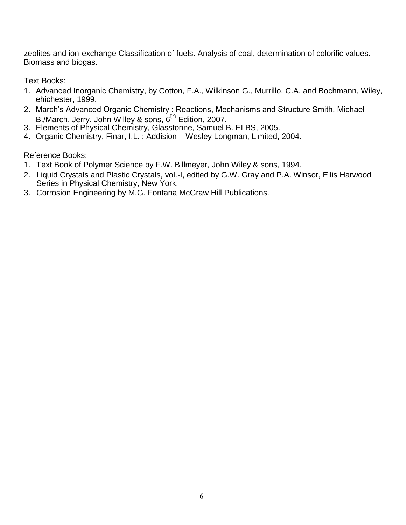zeolites and ion-exchange Classification of fuels. Analysis of coal, determination of colorific values. Biomass and biogas.

Text Books:

- 1. Advanced Inorganic Chemistry, by Cotton, F.A., Wilkinson G., Murrillo, C.A. and Bochmann, Wiley, ehichester, 1999.
- 2. March's Advanced Organic Chemistry : Reactions, Mechanisms and Structure Smith, Michael B./March, Jerry, John Willey & sons, 6<sup>th</sup> Edition, 2007.
- 3. Elements of Physical Chemistry, Glasstonne, Samuel B. ELBS, 2005.
- 4. Organic Chemistry, Finar, I.L. : Addision Wesley Longman, Limited, 2004.

- 1. Text Book of Polymer Science by F.W. Billmeyer, John Wiley & sons, 1994.
- 2. Liquid Crystals and Plastic Crystals, vol.-I, edited by G.W. Gray and P.A. Winsor, Ellis Harwood Series in Physical Chemistry, New York.
- 3. Corrosion Engineering by M.G. Fontana McGraw Hill Publications.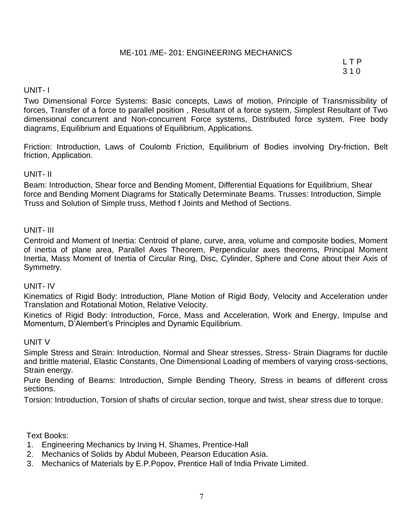#### ME-101 /ME- 201: ENGINEERING MECHANICS

L T P 3 1 0

#### UNIT- I

Two Dimensional Force Systems: Basic concepts, Laws of motion, Principle of Transmissibility of forces, Transfer of a force to parallel position , Resultant of a force system, Simplest Resultant of Two dimensional concurrent and Non-concurrent Force systems, Distributed force system, Free body diagrams, Equilibrium and Equations of Equilibrium, Applications.

Friction: Introduction, Laws of Coulomb Friction, Equilibrium of Bodies involving Dry-friction, Belt friction, Application.

#### UNIT- II

Beam: Introduction, Shear force and Bending Moment, Differential Equations for Equilibrium, Shear force and Bending Moment Diagrams for Statically Determinate Beams. Trusses: Introduction, Simple Truss and Solution of Simple truss, Method f Joints and Method of Sections.

#### UNIT- III

Centroid and Moment of Inertia: Centroid of plane, curve, area, volume and composite bodies, Moment of inertia of plane area, Parallel Axes Theorem, Perpendicular axes theorems, Principal Moment Inertia, Mass Moment of Inertia of Circular Ring, Disc, Cylinder, Sphere and Cone about their Axis of Symmetry.

#### UNIT- IV

Kinematics of Rigid Body: Introduction, Plane Motion of Rigid Body, Velocity and Acceleration under Translation and Rotational Motion, Relative Velocity.

Kinetics of Rigid Body: Introduction, Force, Mass and Acceleration, Work and Energy, Impulse and Momentum, D'Alembert's Principles and Dynamic Equilibrium.

#### UNIT V

Simple Stress and Strain: Introduction, Normal and Shear stresses, Stress- Strain Diagrams for ductile and brittle material, Elastic Constants, One Dimensional Loading of members of varying cross-sections, Strain energy.

Pure Bending of Beams: Introduction, Simple Bending Theory, Stress in beams of different cross sections.

Torsion: Introduction, Torsion of shafts of circular section, torque and twist, shear stress due to torque.

Text Books:

- 1. Engineering Mechanics by Irving H. Shames, Prentice-Hall
- 2. Mechanics of Solids by Abdul Mubeen, Pearson Education Asia.
- 3. Mechanics of Materials by E.P.Popov, Prentice Hall of India Private Limited.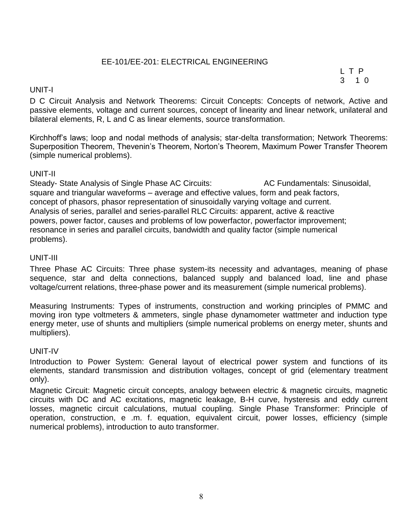#### EE-101/EE-201: ELECTRICAL ENGINEERING

L T P 3 1 0

#### UNIT-I

D C Circuit Analysis and Network Theorems: Circuit Concepts: Concepts of network, Active and passive elements, voltage and current sources, concept of linearity and linear network, unilateral and bilateral elements, R, L and C as linear elements, source transformation.

Kirchhoff's laws; loop and nodal methods of analysis; star-delta transformation; Network Theorems: Superposition Theorem, Thevenin's Theorem, Norton's Theorem, Maximum Power Transfer Theorem (simple numerical problems).

#### UNIT-II

Steady- State Analysis of Single Phase AC Circuits: AC Fundamentals: Sinusoidal, square and triangular waveforms – average and effective values, form and peak factors, concept of phasors, phasor representation of sinusoidally varying voltage and current. Analysis of series, parallel and series-parallel RLC Circuits: apparent, active & reactive powers, power factor, causes and problems of low powerfactor, powerfactor improvement; resonance in series and parallel circuits, bandwidth and quality factor (simple numerical problems).

#### UNIT-III

Three Phase AC Circuits: Three phase system-its necessity and advantages, meaning of phase sequence, star and delta connections, balanced supply and balanced load, line and phase voltage/current relations, three-phase power and its measurement (simple numerical problems).

Measuring Instruments: Types of instruments, construction and working principles of PMMC and moving iron type voltmeters & ammeters, single phase dynamometer wattmeter and induction type energy meter, use of shunts and multipliers (simple numerical problems on energy meter, shunts and multipliers).

#### UNIT-IV

Introduction to Power System: General layout of electrical power system and functions of its elements, standard transmission and distribution voltages, concept of grid (elementary treatment only).

Magnetic Circuit: Magnetic circuit concepts, analogy between electric & magnetic circuits, magnetic circuits with DC and AC excitations, magnetic leakage, B-H curve, hysteresis and eddy current losses, magnetic circuit calculations, mutual coupling. Single Phase Transformer: Principle of operation, construction, e .m. f. equation, equivalent circuit, power losses, efficiency (simple numerical problems), introduction to auto transformer.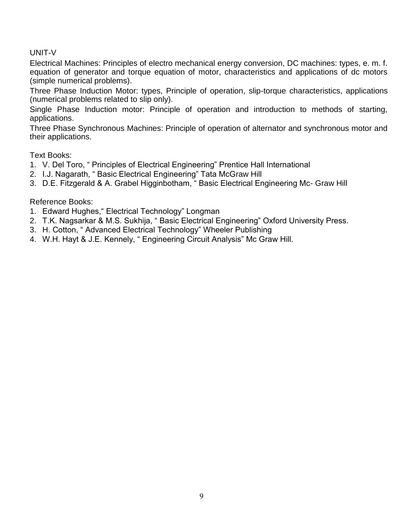#### UNIT-V

Electrical Machines: Principles of electro mechanical energy conversion, DC machines: types, e. m. f. equation of generator and torque equation of motor, characteristics and applications of dc motors (simple numerical problems).

Three Phase Induction Motor: types, Principle of operation, slip-torque characteristics, applications (numerical problems related to slip only).

Single Phase Induction motor: Principle of operation and introduction to methods of starting, applications.

Three Phase Synchronous Machines: Principle of operation of alternator and synchronous motor and their applications.

Text Books:

- 1. V. Del Toro, " Principles of Electrical Engineering" Prentice Hall International
- 2. I.J. Nagarath, " Basic Electrical Engineering" Tata McGraw Hill
- 3. D.E. Fitzgerald & A. Grabel Higginbotham, " Basic Electrical Engineering Mc- Graw Hill

- 1. Edward Hughes," Electrical Technology" Longman
- 2. T.K. Nagsarkar & M.S. Sukhija, " Basic Electrical Engineering" Oxford University Press.
- 3. H. Cotton, " Advanced Electrical Technology" Wheeler Publishing
- 4. W.H. Hayt & J.E. Kennely, " Engineering Circuit Analysis" Mc Graw Hill.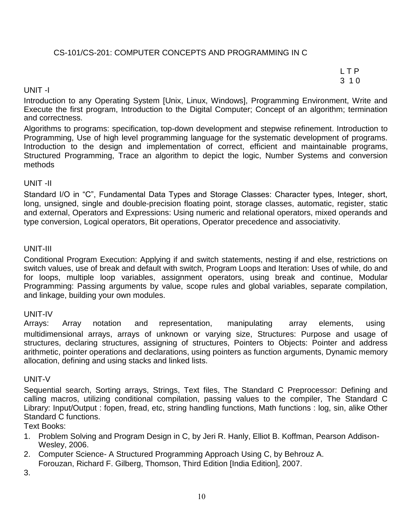#### CS-101/CS-201: COMPUTER CONCEPTS AND PROGRAMMING IN C

L T P 3 1 0

#### UNIT -I

Introduction to any Operating System [Unix, Linux, Windows], Programming Environment, Write and Execute the first program, Introduction to the Digital Computer; Concept of an algorithm; termination and correctness.

Algorithms to programs: specification, top-down development and stepwise refinement. Introduction to Programming, Use of high level programming language for the systematic development of programs. Introduction to the design and implementation of correct, efficient and maintainable programs, Structured Programming, Trace an algorithm to depict the logic, Number Systems and conversion methods

#### UNIT -II

Standard I/O in "C", Fundamental Data Types and Storage Classes: Character types, Integer, short, long, unsigned, single and double-precision floating point, storage classes, automatic, register, static and external, Operators and Expressions: Using numeric and relational operators, mixed operands and type conversion, Logical operators, Bit operations, Operator precedence and associativity.

#### UNIT-III

Conditional Program Execution: Applying if and switch statements, nesting if and else, restrictions on switch values, use of break and default with switch, Program Loops and Iteration: Uses of while, do and for loops, multiple loop variables, assignment operators, using break and continue, Modular Programming: Passing arguments by value, scope rules and global variables, separate compilation, and linkage, building your own modules.

#### UNIT-IV

Arrays: Array notation and representation, manipulating array elements, using multidimensional arrays, arrays of unknown or varying size, Structures: Purpose and usage of structures, declaring structures, assigning of structures, Pointers to Objects: Pointer and address arithmetic, pointer operations and declarations, using pointers as function arguments, Dynamic memory allocation, defining and using stacks and linked lists.

#### UNIT-V

Sequential search, Sorting arrays, Strings, Text files, The Standard C Preprocessor: Defining and calling macros, utilizing conditional compilation, passing values to the compiler, The Standard C Library: Input/Output : fopen, fread, etc, string handling functions, Math functions : log, sin, alike Other Standard C functions.

Text Books:

- 1. Problem Solving and Program Design in C, by Jeri R. Hanly, Elliot B. Koffman, Pearson Addison-Wesley, 2006.
- 2. Computer Science- A Structured Programming Approach Using C, by Behrouz A.

Forouzan, Richard F. Gilberg, Thomson, Third Edition [India Edition], 2007.

3.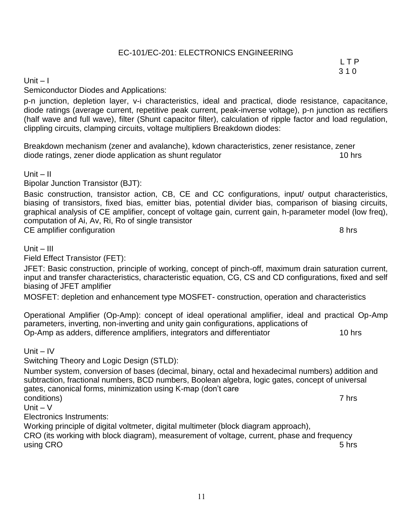## EC-101/EC-201: ELECTRONICS ENGINEERING

L T P 3 1 0

#### Unit – I

Semiconductor Diodes and Applications:

p-n junction, depletion layer, v-i characteristics, ideal and practical, diode resistance, capacitance, diode ratings (average current, repetitive peak current, peak-inverse voltage), p-n junction as rectifiers (half wave and full wave), filter (Shunt capacitor filter), calculation of ripple factor and load regulation, clippling circuits, clamping circuits, voltage multipliers Breakdown diodes:

Breakdown mechanism (zener and avalanche), kdown characteristics, zener resistance, zener diode ratings, zener diode application as shunt regulator 10 hrs

Unit  $-$  II

Bipolar Junction Transistor (BJT):

Basic construction, transistor action, CB, CE and CC configurations, input/ output characteristics, biasing of transistors, fixed bias, emitter bias, potential divider bias, comparison of biasing circuits, graphical analysis of CE amplifier, concept of voltage gain, current gain, h-parameter model (low freq), computation of Ai, Av, Ri, Ro of single transistor CE amplifier configuration 8 hrs

 $Unit - III$ 

Field Effect Transistor (FET):

JFET: Basic construction, principle of working, concept of pinch-off, maximum drain saturation current, input and transfer characteristics, characteristic equation, CG, CS and CD configurations, fixed and self biasing of JFET amplifier

MOSFET: depletion and enhancement type MOSFET- construction, operation and characteristics

Operational Amplifier (Op-Amp): concept of ideal operational amplifier, ideal and practical Op-Amp parameters, inverting, non-inverting and unity gain configurations, applications of Op-Amp as adders, difference amplifiers, integrators and differentiator 10 hrs

Unit – IV

Switching Theory and Logic Design (STLD):

Number system, conversion of bases (decimal, binary, octal and hexadecimal numbers) addition and subtraction, fractional numbers, BCD numbers, Boolean algebra, logic gates, concept of universal gates, canonical forms, minimization using K-map (don't care conditions) 7 hrs

Unit  $- V$ 

Electronics Instruments:

Working principle of digital voltmeter, digital multimeter (block diagram approach), CRO (its working with block diagram), measurement of voltage, current, phase and frequency using CRO 5 hrs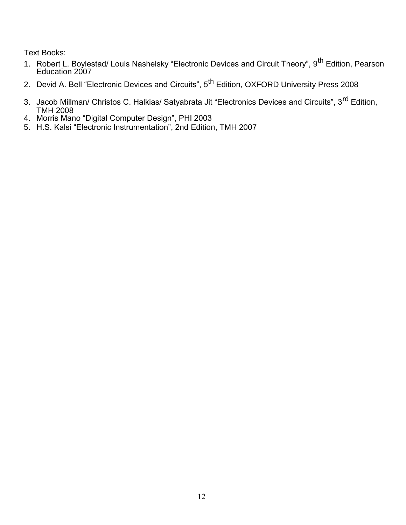Text Books:

- 1. Robert L. Boylestad/ Louis Nashelsky "Electronic Devices and Circuit Theory", 9<sup>th</sup> Edition, Pearson Education 2007
- 2. Devid A. Bell "Electronic Devices and Circuits", 5<sup>th</sup> Edition, OXFORD University Press 2008
- 3. Jacob Millman/ Christos C. Halkias/ Satyabrata Jit "Electronics Devices and Circuits", 3<sup>rd</sup> Edition, TMH 2008
- 4. Morris Mano "Digital Computer Design", PHI 2003
- 5. H.S. Kalsi "Electronic Instrumentation", 2nd Edition, TMH 2007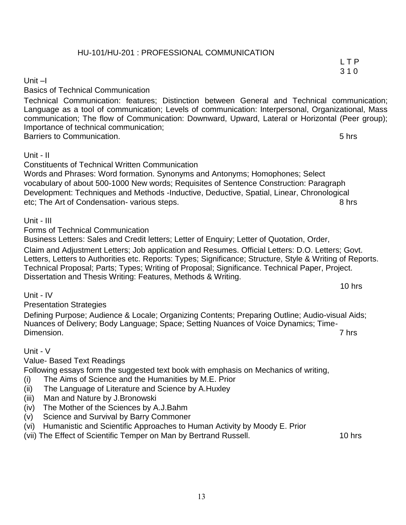#### HU-101/HU-201 : PROFESSIONAL COMMUNICATION

#### Unit –I

Basics of Technical Communication

Technical Communication: features; Distinction between General and Technical communication; Language as a tool of communication; Levels of communication: Interpersonal, Organizational, Mass communication; The flow of Communication: Downward, Upward, Lateral or Horizontal (Peer group); Importance of technical communication; Barriers to Communication. **5** hrs

#### Unit - II

Constituents of Technical Written Communication Words and Phrases: Word formation. Synonyms and Antonyms; Homophones; Select vocabulary of about 500-1000 New words; Requisites of Sentence Construction: Paragraph Development: Techniques and Methods -Inductive, Deductive, Spatial, Linear, Chronological etc; The Art of Condensation- various steps. **8 hrs** 8 hrs

Unit - III

Forms of Technical Communication

Business Letters: Sales and Credit letters; Letter of Enquiry; Letter of Quotation, Order,

Claim and Adjustment Letters; Job application and Resumes. Official Letters: D.O. Letters; Govt. Letters, Letters to Authorities etc. Reports: Types; Significance; Structure, Style & Writing of Reports. Technical Proposal; Parts; Types; Writing of Proposal; Significance. Technical Paper, Project. Dissertation and Thesis Writing: Features, Methods & Writing.

Unit - IV

Presentation Strategies

Defining Purpose; Audience & Locale; Organizing Contents; Preparing Outline; Audio-visual Aids; Nuances of Delivery; Body Language; Space; Setting Nuances of Voice Dynamics; Time-Dimension. 7 hrs

#### Unit - V

Value- Based Text Readings

Following essays form the suggested text book with emphasis on Mechanics of writing,

- (i) The Aims of Science and the Humanities by M.E. Prior
- (ii) The Language of Literature and Science by A.Huxley
- (iii) Man and Nature by J.Bronowski
- (iv) The Mother of the Sciences by A.J.Bahm
- (v) Science and Survival by Barry Commoner
- (vi) Humanistic and Scientific Approaches to Human Activity by Moody E. Prior

(vii) The Effect of Scientific Temper on Man by Bertrand Russell. 10 hrs

10 hrs

L T P 3 1 0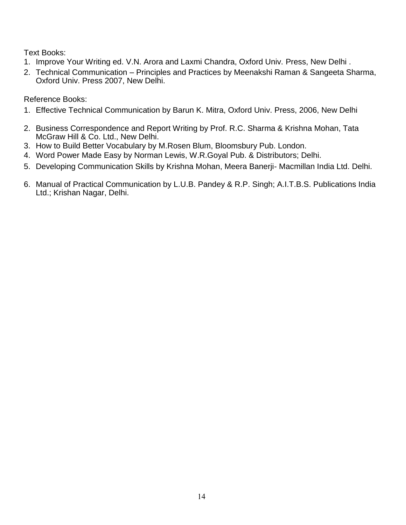Text Books:

- 1. Improve Your Writing ed. V.N. Arora and Laxmi Chandra, Oxford Univ. Press, New Delhi .
- 2. Technical Communication Principles and Practices by Meenakshi Raman & Sangeeta Sharma, Oxford Univ. Press 2007, New Delhi.

- 1. Effective Technical Communication by Barun K. Mitra, Oxford Univ. Press, 2006, New Delhi
- 2. Business Correspondence and Report Writing by Prof. R.C. Sharma & Krishna Mohan, Tata McGraw Hill & Co. Ltd., New Delhi.
- 3. How to Build Better Vocabulary by M.Rosen Blum, Bloomsbury Pub. London.
- 4. Word Power Made Easy by Norman Lewis, W.R.Goyal Pub. & Distributors; Delhi.
- 5. Developing Communication Skills by Krishna Mohan, Meera Banerji- Macmillan India Ltd. Delhi.
- 6. Manual of Practical Communication by L.U.B. Pandey & R.P. Singh; A.I.T.B.S. Publications India Ltd.; Krishan Nagar, Delhi.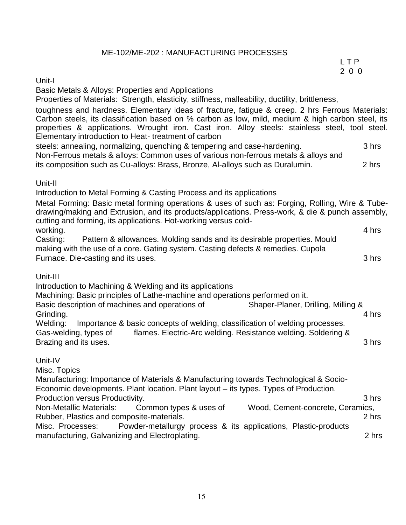#### ME-102/ME-202 : MANUFACTURING PROCESSES

L T P 2 0 0

#### Unit-I

Basic Metals & Alloys: Properties and Applications

Properties of Materials: Strength, elasticity, stiffness, malleability, ductility, brittleness,

toughness and hardness. Elementary ideas of fracture, fatigue & creep. 2 hrs Ferrous Materials: Carbon steels, its classification based on % carbon as low, mild, medium & high carbon steel, its properties & applications. Wrought iron. Cast iron. Alloy steels: stainless steel, tool steel. Elementary introduction to Heat- treatment of carbon

steels: annealing, normalizing, quenching & tempering and case-hardening. 3 hrs Non-Ferrous metals & alloys: Common uses of various non-ferrous metals & alloys and its composition such as Cu-alloys: Brass, Bronze, Al-alloys such as Duralumin. 2 hrs

#### Unit-II

Introduction to Metal Forming & Casting Process and its applications

Metal Forming: Basic metal forming operations & uses of such as: Forging, Rolling, Wire & Tubedrawing/making and Extrusion, and its products/applications. Press-work, & die & punch assembly, cutting and forming, its applications. Hot-working versus coldworking. 4 hrs

Casting: Pattern & allowances. Molding sands and its desirable properties. Mould making with the use of a core. Gating system. Casting defects & remedies. Cupola Furnace. Die-casting and its uses. 3 hrs

#### Unit-III

Introduction to Machining & Welding and its applications

Machining: Basic principles of Lathe-machine and operations performed on it.

Basic description of machines and operations of Shaper-Planer, Drilling, Milling & Grinding. 4 hrs

Welding: Importance & basic concepts of welding, classification of welding processes. Gas-welding, types of flames. Electric-Arc welding. Resistance welding. Soldering & Brazing and its uses. 3 hrs

#### Unit-IV

Misc. Topics

Manufacturing: Importance of Materials & Manufacturing towards Technological & Socio-Economic developments. Plant location. Plant layout – its types. Types of Production.

Production versus Productivity. 3 hrs

Non-Metallic Materials: Common types & uses of Wood, Cement-concrete, Ceramics, Rubber, Plastics and composite-materials. 2 hrs

Misc. Processes: Powder-metallurgy process & its applications, Plastic-products manufacturing, Galvanizing and Electroplating. 2 hrs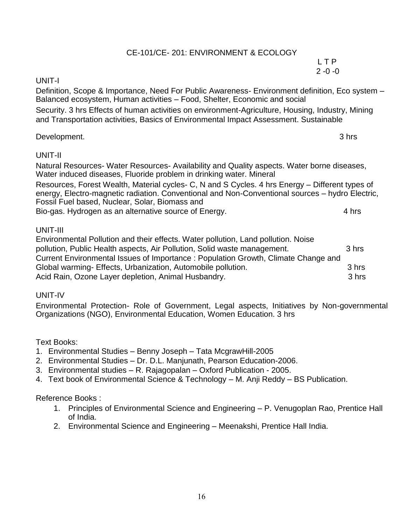#### CE-101/CE- 201: ENVIRONMENT & ECOLOGY

#### L T P  $2 - 0 - 0$

#### UNIT-I

Definition, Scope & Importance, Need For Public Awareness- Environment definition, Eco system – Balanced ecosystem, Human activities – Food, Shelter, Economic and social

Security. 3 hrs Effects of human activities on environment-Agriculture, Housing, Industry, Mining and Transportation activities, Basics of Environmental Impact Assessment. Sustainable

#### Development. 3 hrs

#### UNIT-II

Natural Resources- Water Resources- Availability and Quality aspects. Water borne diseases, Water induced diseases, Fluoride problem in drinking water. Mineral

Resources, Forest Wealth, Material cycles- C, N and S Cycles. 4 hrs Energy – Different types of energy, Electro-magnetic radiation. Conventional and Non-Conventional sources – hydro Electric, Fossil Fuel based, Nuclear, Solar, Biomass and Bio-gas. Hydrogen as an alternative source of Energy. 4 hrs

#### UNIT-III

Environmental Pollution and their effects. Water pollution, Land pollution. Noise pollution, Public Health aspects, Air Pollution, Solid waste management. 3 hrs Current Environmental Issues of Importance : Population Growth, Climate Change and Global warming- Effects, Urbanization, Automobile pollution. 43 hrs Acid Rain, Ozone Layer depletion, Animal Husbandry. Animal Husbandry and Animal Shrs

#### UNIT-IV

Environmental Protection- Role of Government, Legal aspects, Initiatives by Non-governmental Organizations (NGO), Environmental Education, Women Education. 3 hrs

#### Text Books:

- 1. Environmental Studies Benny Joseph Tata McgrawHill-2005
- 2. Environmental Studies Dr. D.L. Manjunath, Pearson Education-2006.
- 3. Environmental studies R. Rajagopalan Oxford Publication 2005.
- 4. Text book of Environmental Science & Technology M. Anji Reddy BS Publication.

- 1. Principles of Environmental Science and Engineering P. Venugoplan Rao, Prentice Hall of India.
- 2. Environmental Science and Engineering Meenakshi, Prentice Hall India.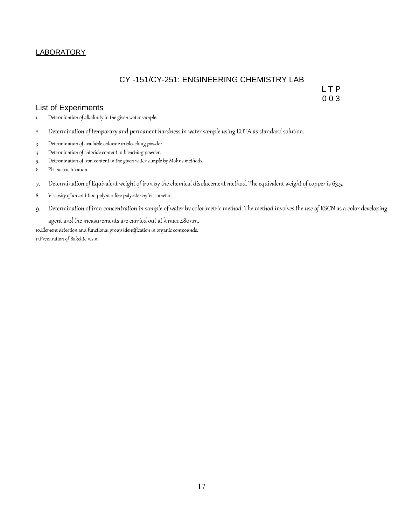#### **LABORATORY**

#### CY -151/CY-251: ENGINEERING CHEMISTRY LAB

List of Experiments

L T P 0 0 3

- 1. Determination of alkalinity in the given water sample.
- 2. Determination of temporary and permanent hardness in water sample using EDTA as standard solution.
- 3. Determination of available chlorine in bleaching powder.
- 4. Determination of chloride content in bleaching powder.
- 5. Determination of iron content in the given water sample by Mohr's methods.
- 6. PH-metric titration.
- 7. Determination of Equivalent weight of iron by the chemical displacement method. The equivalent weight of copper is 63.5.
- 8. Viscosity of an addition polymer like polyester by Viscometer.
- 9. Determination of iron concentration in sample of water by colorimetric method. The method involves the use of KSCN as a color developing

agent and the measurements are carried out at  $\lambda$  max 480nm.

10.Element detection and functional group identification in organic compounds. 11.Preparation of Bakelite resin.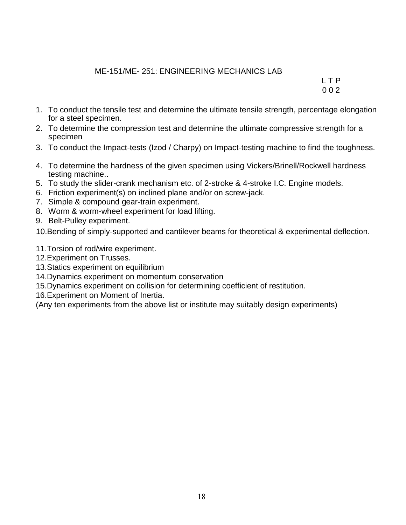#### ME-151/ME- 251: ENGINEERING MECHANICS LAB

L T P 0 0 2

- 1. To conduct the tensile test and determine the ultimate tensile strength, percentage elongation for a steel specimen.
- 2. To determine the compression test and determine the ultimate compressive strength for a specimen
- 3. To conduct the Impact-tests (Izod / Charpy) on Impact-testing machine to find the toughness.
- 4. To determine the hardness of the given specimen using Vickers/Brinell/Rockwell hardness testing machine..
- 5. To study the slider-crank mechanism etc. of 2-stroke & 4-stroke I.C. Engine models.
- 6. Friction experiment(s) on inclined plane and/or on screw-jack.
- 7. Simple & compound gear-train experiment.
- 8. Worm & worm-wheel experiment for load lifting.
- 9. Belt-Pulley experiment.

10.Bending of simply-supported and cantilever beams for theoretical & experimental deflection.

- 11.Torsion of rod/wire experiment.
- 12.Experiment on Trusses.
- 13.Statics experiment on equilibrium
- 14.Dynamics experiment on momentum conservation
- 15.Dynamics experiment on collision for determining coefficient of restitution.
- 16.Experiment on Moment of Inertia.

(Any ten experiments from the above list or institute may suitably design experiments)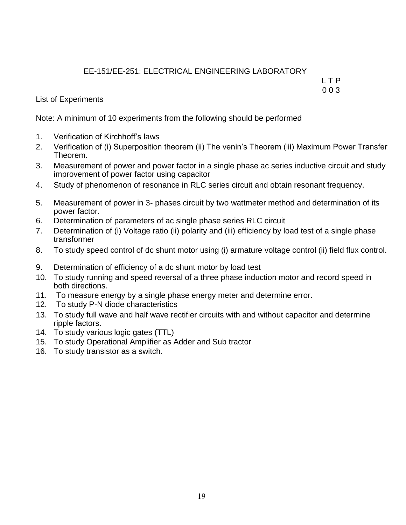### EE-151/EE-251: ELECTRICAL ENGINEERING LABORATORY

L T P 0 0 3

List of Experiments

Note: A minimum of 10 experiments from the following should be performed

- 1. Verification of Kirchhoff's laws
- 2. Verification of (i) Superposition theorem (ii) The venin's Theorem (iii) Maximum Power Transfer Theorem.
- 3. Measurement of power and power factor in a single phase ac series inductive circuit and study improvement of power factor using capacitor
- 4. Study of phenomenon of resonance in RLC series circuit and obtain resonant frequency.
- 5. Measurement of power in 3- phases circuit by two wattmeter method and determination of its power factor.
- 6. Determination of parameters of ac single phase series RLC circuit
- 7. Determination of (i) Voltage ratio (ii) polarity and (iii) efficiency by load test of a single phase transformer
- 8. To study speed control of dc shunt motor using (i) armature voltage control (ii) field flux control.
- 9. Determination of efficiency of a dc shunt motor by load test
- 10. To study running and speed reversal of a three phase induction motor and record speed in both directions.
- 11. To measure energy by a single phase energy meter and determine error.
- 12. To study P-N diode characteristics
- 13. To study full wave and half wave rectifier circuits with and without capacitor and determine ripple factors.
- 14. To study various logic gates (TTL)
- 15. To study Operational Amplifier as Adder and Sub tractor
- 16. To study transistor as a switch.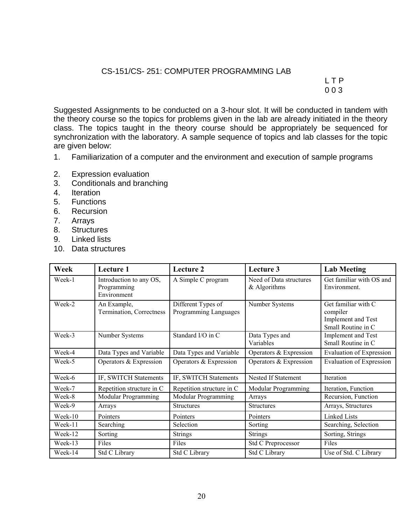#### CS-151/CS- 251: COMPUTER PROGRAMMING LAB

L T P 0 0 3

Suggested Assignments to be conducted on a 3-hour slot. It will be conducted in tandem with the theory course so the topics for problems given in the lab are already initiated in the theory class. The topics taught in the theory course should be appropriately be sequenced for synchronization with the laboratory. A sample sequence of topics and lab classes for the topic are given below:

- 1. Familiarization of a computer and the environment and execution of sample programs
- 2. Expression evaluation
- 3. Conditionals and branching
- 4. Iteration
- 5. Functions
- 6. Recursion
- 7. Arrays
- 8. Structures
- 9. Linked lists
- 10. Data structures

| Week    | Lecture 1                                             | Lecture 2                                   | Lecture 3                                 | <b>Lab Meeting</b>                                                          |  |  |
|---------|-------------------------------------------------------|---------------------------------------------|-------------------------------------------|-----------------------------------------------------------------------------|--|--|
| Week-1  | Introduction to any OS,<br>Programming<br>Environment | A Simple C program                          | Need of Data structures<br>$&$ Algorithms | Get familiar with OS and<br>Environment.                                    |  |  |
| Week-2  | An Example,<br>Termination, Correctness               | Different Types of<br>Programming Languages | Number Systems                            | Get familiar with C<br>compiler<br>Implement and Test<br>Small Routine in C |  |  |
| Week-3  | Number Systems                                        | Standard I/O in C                           | Data Types and<br>Variables               | Implement and Test<br>Small Routine in C                                    |  |  |
| Week-4  | Data Types and Variable                               | Data Types and Variable                     | Operators & Expression                    | <b>Evaluation of Expression</b>                                             |  |  |
| Week-5  | Operators & Expression                                | Operators & Expression                      | Operators & Expression                    | <b>Evaluation of Expression</b>                                             |  |  |
| Week-6  | IF, SWITCH Statements                                 | IF, SWITCH Statements                       | Nested If Statement                       | <b>Iteration</b>                                                            |  |  |
| Week-7  | Repetition structure in C                             | Repetition structure in C                   | Modular Programming                       | Iteration, Function                                                         |  |  |
| Week-8  | Modular Programming                                   | Modular Programming                         | Arrays                                    | Recursion, Function                                                         |  |  |
| Week-9  | Arrays                                                | <b>Structures</b>                           | <b>Structures</b>                         | Arrays, Structures                                                          |  |  |
| Week-10 | Pointers                                              | Pointers                                    | Pointers                                  | Linked Lists                                                                |  |  |
| Week-11 | Searching                                             | Selection                                   | Sorting                                   | Searching, Selection                                                        |  |  |
| Week-12 | Sorting                                               | <b>Strings</b>                              | <b>Strings</b>                            | Sorting, Strings                                                            |  |  |
| Week-13 | Files                                                 | Files                                       | Std C Preprocessor                        | Files                                                                       |  |  |
| Week-14 | Std C Library                                         | Std C Library                               | Std C Library                             | Use of Std. C Library                                                       |  |  |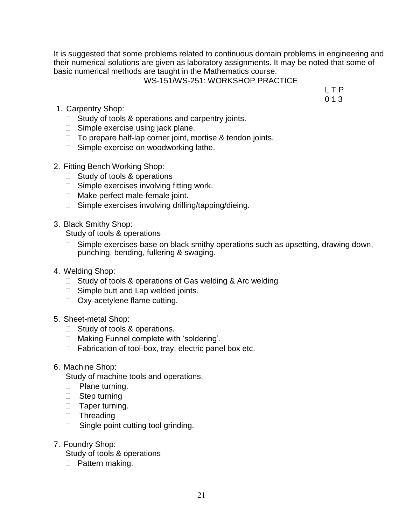It is suggested that some problems related to continuous domain problems in engineering and their numerical solutions are given as laboratory assignments. It may be noted that some of basic numerical methods are taught in the Mathematics course.

#### WS-151/WS-251: WORKSHOP PRACTICE

L T P 0 1 3

- 1. Carpentry Shop:
	- $\Box$  Study of tools & operations and carpentry joints.
	- $\Box$  Simple exercise using jack plane.
	- $\Box$  To prepare half-lap corner joint, mortise & tendon joints.
	- $\Box$  Simple exercise on woodworking lathe.
- 2. Fitting Bench Working Shop:
	- □ Study of tools & operations
	- $\Box$  Simple exercises involving fitting work.
	- □ Make perfect male-female joint.
	- $\Box$  Simple exercises involving drilling/tapping/dieing.
- 3. Black Smithy Shop:

Study of tools & operations

- $\Box$  Simple exercises base on black smithy operations such as upsetting, drawing down, punching, bending, fullering & swaging.
- 4. Welding Shop:
	- $\Box$  Study of tools & operations of Gas welding & Arc welding
	- $\Box$  Simple butt and Lap welded joints.
	- □ Oxy-acetylene flame cutting.
- 5. Sheet-metal Shop:
	- □ Study of tools & operations.
	- □ Making Funnel complete with 'soldering'.
	- $\Box$  Fabrication of tool-box, tray, electric panel box etc.
- 6. Machine Shop:

Study of machine tools and operations.

- **Plane turning.**
- □ Step turning
- **Taper turning.**
- **Threading**
- $\Box$  Single point cutting tool grinding.
- 7. Foundry Shop:

Study of tools & operations

□ Pattern making.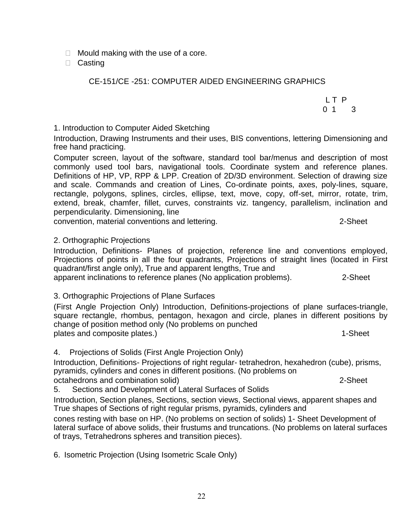$\Box$  Mould making with the use of a core.

□ Casting

#### CE-151/CE -251: COMPUTER AIDED ENGINEERING GRAPHICS

1. Introduction to Computer Aided Sketching

Introduction, Drawing Instruments and their uses, BIS conventions, lettering Dimensioning and free hand practicing.

Computer screen, layout of the software, standard tool bar/menus and description of most commonly used tool bars, navigational tools. Coordinate system and reference planes. Definitions of HP, VP, RPP & LPP. Creation of 2D/3D environment. Selection of drawing size and scale. Commands and creation of Lines, Co-ordinate points, axes, poly-lines, square, rectangle, polygons, splines, circles, ellipse, text, move, copy, off-set, mirror, rotate, trim, extend, break, chamfer, fillet, curves, constraints viz. tangency, parallelism, inclination and perpendicularity. Dimensioning, line

convention, material conventions and lettering. 2-Sheet

#### 2. Orthographic Projections

Introduction, Definitions- Planes of projection, reference line and conventions employed, Projections of points in all the four quadrants, Projections of straight lines (located in First quadrant/first angle only), True and apparent lengths, True and apparent inclinations to reference planes (No application problems). 2-Sheet

3. Orthographic Projections of Plane Surfaces

(First Angle Projection Only) Introduction, Definitions-projections of plane surfaces-triangle, square rectangle, rhombus, pentagon, hexagon and circle, planes in different positions by change of position method only (No problems on punched plates and composite plates.) 1-Sheet

4. Projections of Solids (First Angle Projection Only)

Introduction, Definitions- Projections of right regular- tetrahedron, hexahedron (cube), prisms, pyramids, cylinders and cones in different positions. (No problems on octahedrons and combination solid) 2-Sheet

5. Sections and Development of Lateral Surfaces of Solids

Introduction, Section planes, Sections, section views, Sectional views, apparent shapes and True shapes of Sections of right regular prisms, pyramids, cylinders and

cones resting with base on HP. (No problems on section of solids) 1- Sheet Development of lateral surface of above solids, their frustums and truncations. (No problems on lateral surfaces of trays, Tetrahedrons spheres and transition pieces).

6. Isometric Projection (Using Isometric Scale Only)

L T P 0 1 3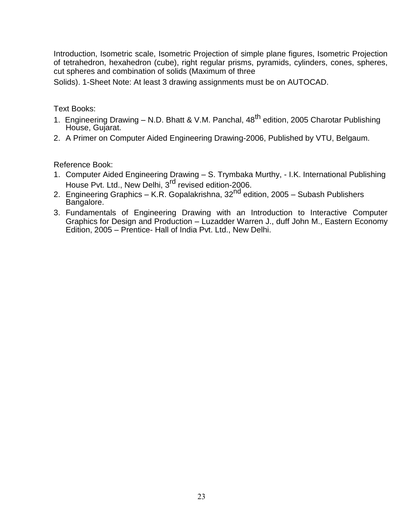Introduction, Isometric scale, Isometric Projection of simple plane figures, Isometric Projection of tetrahedron, hexahedron (cube), right regular prisms, pyramids, cylinders, cones, spheres, cut spheres and combination of solids (Maximum of three

Solids). 1-Sheet Note: At least 3 drawing assignments must be on AUTOCAD.

Text Books:

- 1. Engineering Drawing N.D. Bhatt & V.M. Panchal, 48<sup>th</sup> edition, 2005 Charotar Publishing House, Gujarat.
- 2. A Primer on Computer Aided Engineering Drawing-2006, Published by VTU, Belgaum.

- 1. Computer Aided Engineering Drawing S. Trymbaka Murthy, I.K. International Publishing House Pvt. Ltd., New Delhi, 3<sup>rd</sup> revised edition-2006.
- 2. Engineering Graphics K.R. Gopalakrishna, 32<sup>nd</sup> edition, 2005 Subash Publishers Bangalore.
- 3. Fundamentals of Engineering Drawing with an Introduction to Interactive Computer Graphics for Design and Production – Luzadder Warren J., duff John M., Eastern Economy Edition, 2005 – Prentice- Hall of India Pvt. Ltd., New Delhi.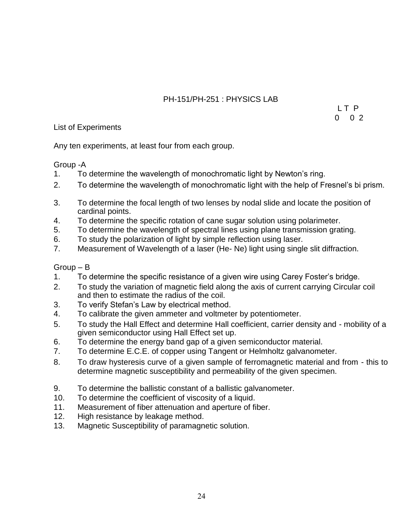### PH-151/PH-251 : PHYSICS LAB

L T P 0 0 2

#### List of Experiments

Any ten experiments, at least four from each group.

Group -A

- 1. To determine the wavelength of monochromatic light by Newton's ring.
- 2. To determine the wavelength of monochromatic light with the help of Fresnel's bi prism.
- 3. To determine the focal length of two lenses by nodal slide and locate the position of cardinal points.
- 4. To determine the specific rotation of cane sugar solution using polarimeter.
- 5. To determine the wavelength of spectral lines using plane transmission grating.
- 6. To study the polarization of light by simple reflection using laser.
- 7. Measurement of Wavelength of a laser (He- Ne) light using single slit diffraction.

#### Group – B

- 1. To determine the specific resistance of a given wire using Carey Foster's bridge.
- 2. To study the variation of magnetic field along the axis of current carrying Circular coil and then to estimate the radius of the coil.
- 3. To verify Stefan's Law by electrical method.
- 4. To calibrate the given ammeter and voltmeter by potentiometer.
- 5. To study the Hall Effect and determine Hall coefficient, carrier density and mobility of a given semiconductor using Hall Effect set up.
- 6. To determine the energy band gap of a given semiconductor material.
- 7. To determine E.C.E. of copper using Tangent or Helmholtz galvanometer.
- 8. To draw hysteresis curve of a given sample of ferromagnetic material and from this to determine magnetic susceptibility and permeability of the given specimen.
- 9. To determine the ballistic constant of a ballistic galvanometer.
- 10. To determine the coefficient of viscosity of a liquid.
- 11. Measurement of fiber attenuation and aperture of fiber.
- 12. High resistance by leakage method.
- 13. Magnetic Susceptibility of paramagnetic solution.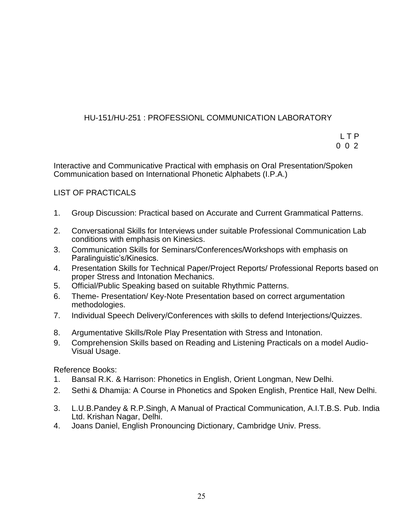### HU-151/HU-251 : PROFESSIONL COMMUNICATION LABORATORY

L T P 0 0 2

Interactive and Communicative Practical with emphasis on Oral Presentation/Spoken Communication based on International Phonetic Alphabets (I.P.A.)

#### LIST OF PRACTICALS

- 1. Group Discussion: Practical based on Accurate and Current Grammatical Patterns.
- 2. Conversational Skills for Interviews under suitable Professional Communication Lab conditions with emphasis on Kinesics.
- 3. Communication Skills for Seminars/Conferences/Workshops with emphasis on Paralinguistic's/Kinesics.
- 4. Presentation Skills for Technical Paper/Project Reports/ Professional Reports based on proper Stress and Intonation Mechanics.
- 5. Official/Public Speaking based on suitable Rhythmic Patterns.
- 6. Theme- Presentation/ Key-Note Presentation based on correct argumentation methodologies.
- 7. Individual Speech Delivery/Conferences with skills to defend Interjections/Quizzes.
- 8. Argumentative Skills/Role Play Presentation with Stress and Intonation.
- 9. Comprehension Skills based on Reading and Listening Practicals on a model Audio-Visual Usage.

- 1. Bansal R.K. & Harrison: Phonetics in English, Orient Longman, New Delhi.
- 2. Sethi & Dhamija: A Course in Phonetics and Spoken English, Prentice Hall, New Delhi.
- 3. L.U.B.Pandey & R.P.Singh, A Manual of Practical Communication, A.I.T.B.S. Pub. India Ltd. Krishan Nagar, Delhi.
- 4. Joans Daniel, English Pronouncing Dictionary, Cambridge Univ. Press.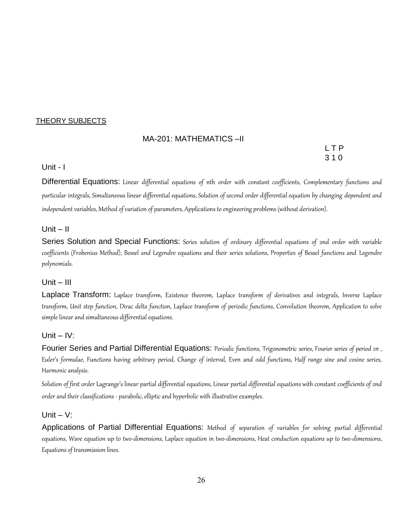#### THEORY SUBJECTS

#### MA-201: MATHEMATICS –II

L T P 3 1 0

#### Unit - I

Differential Equations: Linear differential equations of nth order with constant coefficients, Complementary functions and particular integrals, Simultaneous linear differential equations, Solution of second order differential equation by changing dependent and independent variables, Method of variation of parameters, Applications to engineering problems (without derivation).

#### $Unit - II$

Series Solution and Special Functions: Series solution of ordinary differential equations of 2nd order with variable coefficients (Frobenius Method), Bessel and Legendre equations and their series solutions, Properties of Bessel functions and Legendre polynomials.

#### Unit – III

Laplace Transform: Laplace transform, Existence theorem, Laplace transform of derivatives and integrals, Inverse Laplace transform, Unit step function, Dirac delta function, Laplace transform of periodic functions, Convolution theorem, Application to solve simple linear and simultaneous differential equations.

#### Unit – IV:

Fourier Series and Partial Differential Equations: Periodic functions, Trigonometric series, Fourier series of period  $2\pi$ , Euler's formulae, Functions having arbitrary period, Change of interval, Even and odd functions, Half range sine and cosine series, Harmonic analysis.

Solution of first order Lagrange's linear partial differential equations, Linear partial differential equations with constant coefficients of 2nd order and their classifications - parabolic, elliptic and hyperbolic with illustrative examples.

#### Unit  $-$  V:

Applications of Partial Differential Equations: Method of separation of variables for solving partial differential equations, Wave equation up to two-dimensions, Laplace equation in two-dimensions, Heat conduction equations up to two-dimensions, Equations of transmission lines.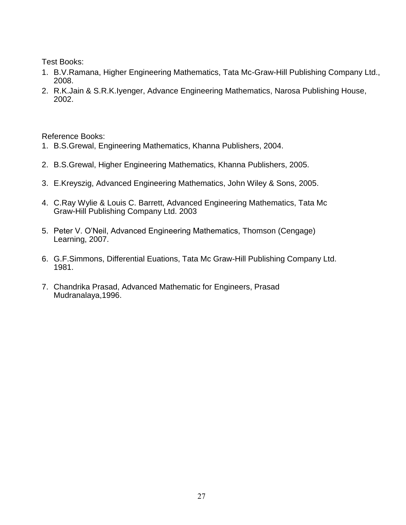Test Books:

- 1. B.V.Ramana, Higher Engineering Mathematics, Tata Mc-Graw-Hill Publishing Company Ltd., 2008.
- 2. R.K.Jain & S.R.K.Iyenger, Advance Engineering Mathematics, Narosa Publishing House, 2002.

- 1. B.S.Grewal, Engineering Mathematics, Khanna Publishers, 2004.
- 2. B.S.Grewal, Higher Engineering Mathematics, Khanna Publishers, 2005.
- 3. E.Kreyszig, Advanced Engineering Mathematics, John Wiley & Sons, 2005.
- 4. C.Ray Wylie & Louis C. Barrett, Advanced Engineering Mathematics, Tata Mc Graw-Hill Publishing Company Ltd. 2003
- 5. Peter V. O'Neil, Advanced Engineering Mathematics, Thomson (Cengage) Learning, 2007.
- 6. G.F.Simmons, Differential Euations, Tata Mc Graw-Hill Publishing Company Ltd. 1981.
- 7. Chandrika Prasad, Advanced Mathematic for Engineers, Prasad Mudranalaya,1996.